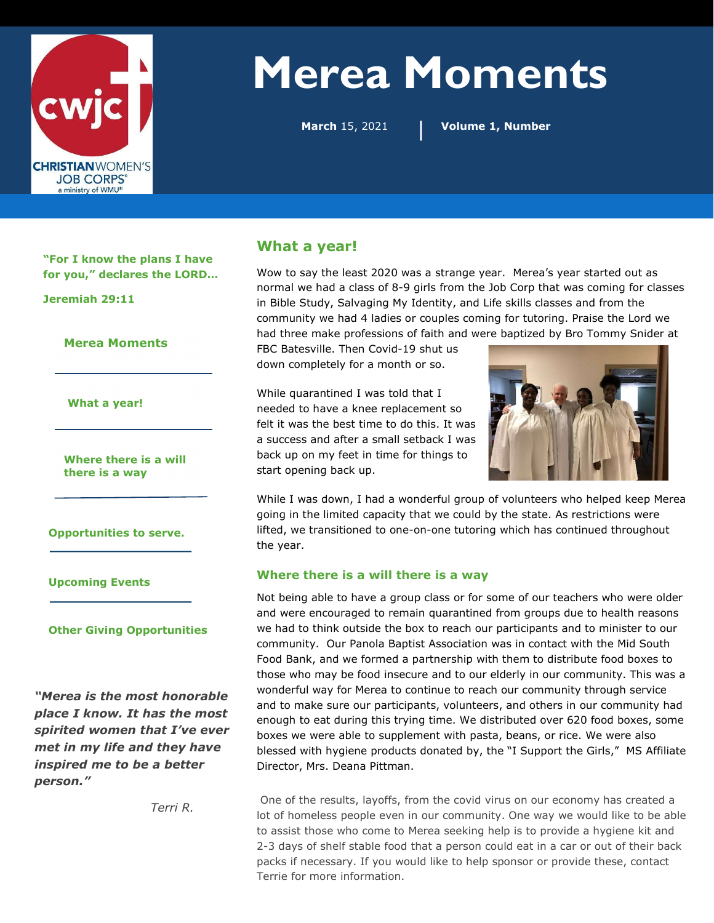

# Merea Moments

March 15, 2021

| Volume 1, Number

"For I know the plans I have for you," declares the LORD…

Jeremiah 29:11

Merea Moments

What a year!

Where there is a will there is a way

Opportunities to serve.

Upcoming Events

#### Other Giving Opportunities

"Merea is the most honorable place I know. It has the most spirited women that I've ever met in my life and they have inspired me to be a better person."

## What a year!

Wow to say the least 2020 was a strange year. Merea's year started out as normal we had a class of 8-9 girls from the Job Corp that was coming for classes in Bible Study, Salvaging My Identity, and Life skills classes and from the community we had 4 ladies or couples coming for tutoring. Praise the Lord we had three make professions of faith and were baptized by Bro Tommy Snider at

FBC Batesville. Then Covid-19 shut us down completely for a month or so.

While quarantined I was told that I needed to have a knee replacement so felt it was the best time to do this. It was a success and after a small setback I was back up on my feet in time for things to start opening back up.



While I was down, I had a wonderful group of volunteers who helped keep Merea going in the limited capacity that we could by the state. As restrictions were lifted, we transitioned to one-on-one tutoring which has continued throughout the year.

#### Where there is a will there is a way

Not being able to have a group class or for some of our teachers who were older and were encouraged to remain quarantined from groups due to health reasons we had to think outside the box to reach our participants and to minister to our community. Our Panola Baptist Association was in contact with the Mid South Food Bank, and we formed a partnership with them to distribute food boxes to those who may be food insecure and to our elderly in our community. This was a wonderful way for Merea to continue to reach our community through service and to make sure our participants, volunteers, and others in our community had enough to eat during this trying time. We distributed over 620 food boxes, some boxes we were able to supplement with pasta, beans, or rice. We were also blessed with hygiene products donated by, the "I Support the Girls," MS Affiliate Director, Mrs. Deana Pittman.

Terri R. One of the results, layoffs, from the covid virus on our economy has created a lot of homeless people even in our community. One way we would like to be able to assist those who come to Merea seeking help is to provide a hygiene kit and 2-3 days of shelf stable food that a person could eat in a car or out of their back packs if necessary. If you would like to help sponsor or provide these, contact Terrie for more information.